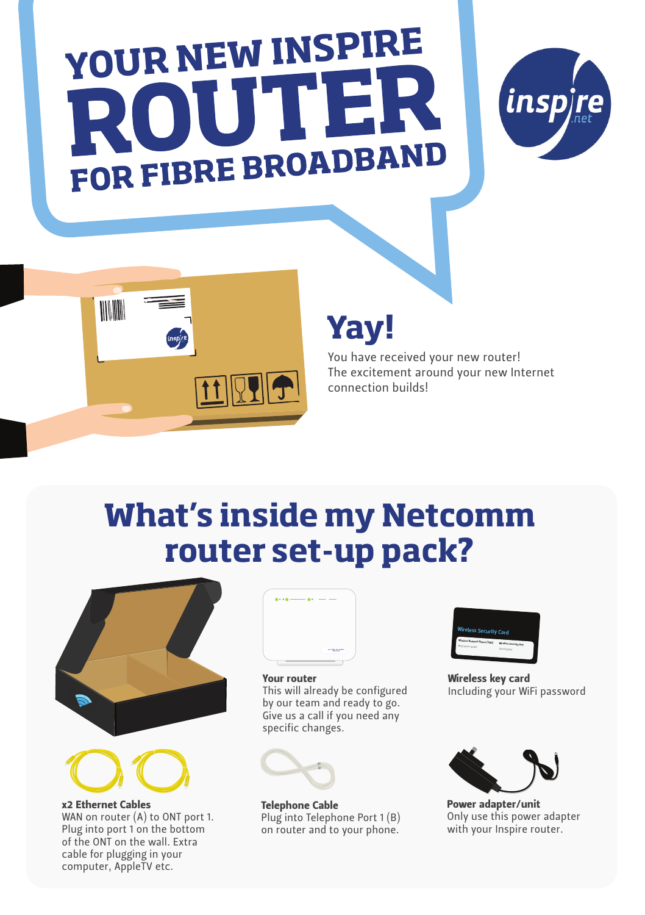# YOUR NEW INSPIRE FOR FIBRE BROADBAND





### **Yay!**

You have received your new router! The excitement around your new Internet connection builds!

### **What's inside my Netcomm router set-up pack?**





x2 Ethernet Cables

WAN on router (A) to ONT port 1. Plug into port 1 on the bottom of the ONT on the wall. Extra cable for plugging in your computer, AppleTV etc.



#### Your router

This will already be configured by our team and ready to go. Give us a call if you need any specific changes.



Telephone Cable Plug into Telephone Port 1 (B) on router and to your phone.



Wireless key card Including your WiFi password



Power adapter/unit Only use this power adapter with your Inspire router.